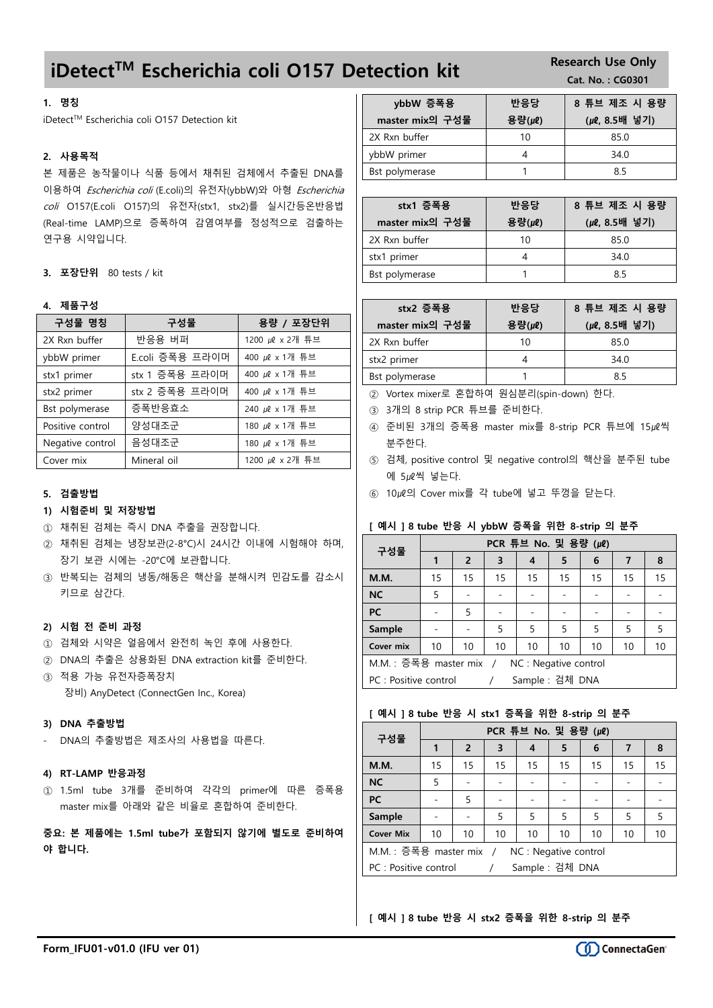# iDetect<sup>TM</sup> Escherichia coli 0157 Detection kit Research Use Only

### 1. 명칭

iDetect™ Escherichia coli O157 Detection kit

### 2. 사용목적

본 제품은 농작물이나 식품 등에서 채취된 검체에서 추출된 DNA를 이용하여 Escherichia coli (E.coli)의 유전자(ybbW)와 아형 Escherichia coli O157(E.coli O157)의 유전자(stx1, stx2)를 실시간등온반응법 (Real-time LAMP)으로 증폭하여 감염여부를 정성적으로 검출하는 연구용 시약입니다.

3. 포장단위 80 tests / kit

#### 4. 제품구성

| 구성물 명칭           | 구성물             | 용량 / 포장단위       |
|------------------|-----------------|-----------------|
| 2X Rxn buffer    | 반응용 버퍼          | 1200 µl x 2개 튜브 |
| ybbW primer      | E.coli 증폭용 프라이머 | 400 µl x 1개 튜브  |
| stx1 primer      | stx 1 증폭용 프라이머  | 400 µl x 1개 튜브  |
| stx2 primer      | stx 2 증폭용 프라이머  | 400 µl x 1개 튜브  |
| Bst polymerase   | 증폭반응효소          | 240 µl x 1개 튜브  |
| Positive control | 양성대조군           | 180 µl x 1개 튜브  |
| Negative control | 음성대조군           | 180 µl x 1개 튜브  |
| Cover mix        | Mineral oil     | 1200 µl x 2개 튜브 |

#### 5. 검출방법

#### 1) 시험준비 및 저장방법

- ① 채취된 검체는 즉시 DNA 추출을 권장합니다.
- ② 채취된 검체는 냉장보관(2-8°C)시 24시간 이내에 시험해야 하며, 장기 보관 시에는 -20°C에 보관합니다.
- ③ 반복되는 검체의 냉동/해동은 핵산을 분해시켜 민감도를 감소시 키므로 삼간다.

#### 2) 시험 전 준비 과정

- ① 검체와 시약은 얼음에서 완전히 녹인 후에 사용한다.
- ② DNA의 추출은 상용화된 DNA extraction kit를 준비한다.
- ③ 적용 가능 유전자증폭장치 장비) AnyDetect (ConnectGen Inc., Korea)

#### 3) DNA 추출방법

- DNA의 추출방법은 제조사의 사용법을 따른다.

#### 4) RT-LAMP 반응과정

① 1.5ml tube 3개를 준비하여 각각의 primer에 따른 증폭용 master mix를 아래와 같은 비율로 혼합하여 준비한다.

중요: 본 제품에는 1.5ml tube가 포함되지 않기에 별도로 준비하여 야 합니다.

| ybbW 증폭용        | 반응당    | 8 튜브 제조 시 용량 |
|-----------------|--------|--------------|
| master mix의 구성물 | 용량(µl) | (µ0,8.5배 넣기) |
| 2X Rxn buffer   | 10     | 85.0         |
| ybbW primer     |        | 34.0         |
| Bst polymerase  |        | 85           |

| stx1 증폭용        | 반응당    | 8 튜브 제조 시 용량  |
|-----------------|--------|---------------|
| master mix의 구성물 | 용량(µl) | (μℓ, 8.5배 넣기) |
| 2X Rxn buffer   | 10     | 85.0          |
| stx1 primer     |        | 34.0          |
| Bst polymerase  |        | 85            |

| stx2 증폭용        | 반응당    | 8 튜브 제조 시 용량  |
|-----------------|--------|---------------|
| master mix의 구성물 | 용량(µl) | (μl, 8.5배 넣기) |
| 2X Rxn buffer   | 10     | 85.0          |
| stx2 primer     |        | 34.0          |
| Bst polymerase  |        | 85            |

② Vortex mixer로 혼합하여 원심분리(spin-down) 한다.

- ③ 3개의 8 strip PCR 튜브를 준비한다.
- ④ 준비된 3개의 증폭용 master mix를 8-strip PCR 튜브에 15㎕씩 분주한다.
- ⑤ 검체, positive control 및 negative control의 핵산을 분주된 tube 에 5㎕씩 넣는다.
- ⑥ 10㎕의 Cover mix를 각 tube에 넣고 뚜껑을 닫는다.

#### [ 예시 ] 8 tube 반응 시 ybbW 증폭을 위한 8-strip 의 분주

| 구성물                                              | PCR 튜브 No. 및 용량 (µ0)                         |                |    |                 |    |    |    |    |
|--------------------------------------------------|----------------------------------------------|----------------|----|-----------------|----|----|----|----|
|                                                  |                                              | $\overline{2}$ | 3  | 4               | 5  | 6  | 7  | 8  |
| M.M.                                             | 15                                           | 15             | 15 | 15              | 15 | 15 | 15 | 15 |
| <b>NC</b>                                        | 5                                            |                |    |                 |    |    |    |    |
| PC                                               |                                              | 5              |    |                 |    |    |    |    |
| Sample                                           |                                              |                | 5  | 5               | 5  | 5  | 5  | 5  |
| Cover mix                                        | 10<br>10<br>10<br>10<br>10<br>10<br>10<br>10 |                |    |                 |    |    |    |    |
| M.M. : 증폭용 master mix /<br>NC : Negative control |                                              |                |    |                 |    |    |    |    |
| PC : Positive control                            |                                              |                |    | Sample : 검체 DNA |    |    |    |    |

#### [ 예시 ] 8 tube 반응 시 stx1 증폭을 위한 8-strip 의 분주

| 구성물                                              | PCR 튜브 No. 및 용량 (µ0)                         |                  |                         |                 |    |    |    |    |
|--------------------------------------------------|----------------------------------------------|------------------|-------------------------|-----------------|----|----|----|----|
|                                                  |                                              | 2                | $\overline{\mathbf{3}}$ | 4               | 5  | 6  | 7  | 8  |
| <b>M.M.</b>                                      | 15                                           | 15               | 15                      | 15              | 15 | 15 | 15 | 15 |
| <b>NC</b>                                        | 5                                            |                  |                         |                 |    |    |    |    |
| PC                                               |                                              | 5                |                         |                 |    |    |    |    |
| <b>Sample</b>                                    |                                              | 5<br>5<br>5<br>5 |                         |                 | 5  | 5  |    |    |
| <b>Cover Mix</b>                                 | 10<br>10<br>10<br>10<br>10<br>10<br>10<br>10 |                  |                         |                 |    |    |    |    |
| M.M. : 증폭용 master mix /<br>NC : Negative control |                                              |                  |                         |                 |    |    |    |    |
| PC : Positive control                            |                                              |                  |                         | Sample : 검체 DNA |    |    |    |    |

[ 예시 ] 8 tube 반응 시 stx2 증폭을 위한 8-strip 의 분주

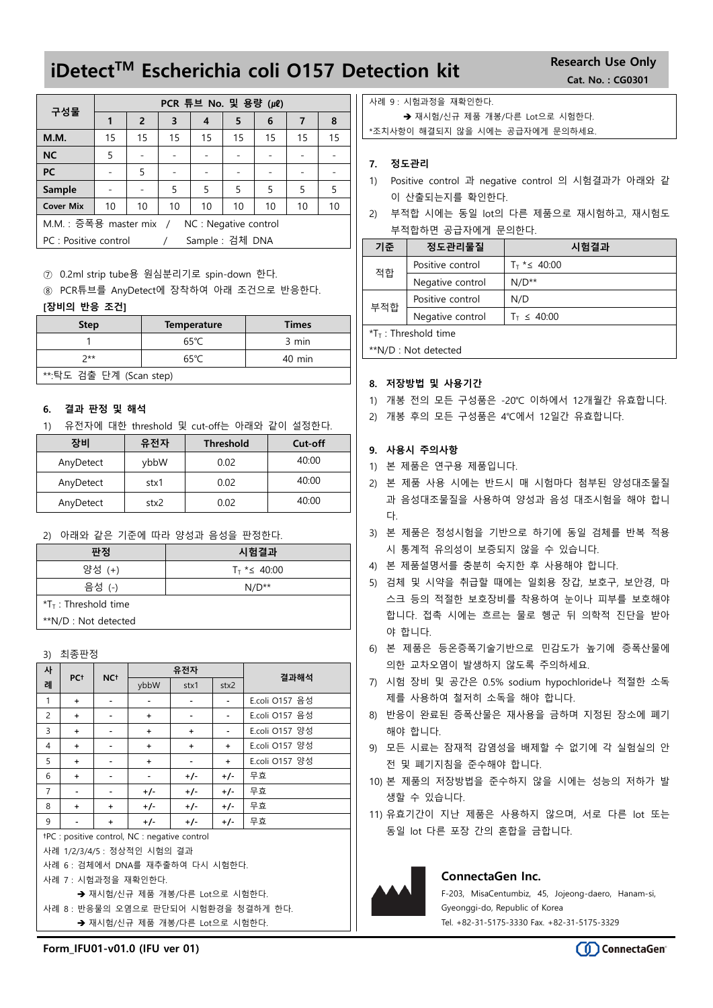# iDetect<sup>™</sup> Escherichia coli O157 Detection kit Research Use Only

|                                                  | PCR 튜브 No. 및 용량 (µ0) |    |    |                 |    |    |    |    |
|--------------------------------------------------|----------------------|----|----|-----------------|----|----|----|----|
| 구성물                                              |                      | 2  | 3  | 4               | 5  | 6  | 7  | 8  |
| <b>M.M.</b>                                      | 15                   | 15 | 15 | 15              | 15 | 15 | 15 | 15 |
| <b>NC</b>                                        | 5                    |    |    |                 |    |    |    |    |
| PC                                               |                      | 5  |    |                 |    |    |    |    |
| Sample                                           |                      |    | 5  | 5               | 5  | 5  | 5  | 5  |
| <b>Cover Mix</b>                                 | 10                   | 10 | 10 | 10              | 10 | 10 | 10 | 10 |
| M.M. : 증폭용 master mix /<br>NC : Negative control |                      |    |    |                 |    |    |    |    |
| PC : Positive control                            |                      |    |    | Sample : 검체 DNA |    |    |    |    |

⑦ 0.2ml strip tube용 원심분리기로 spin-down 한다.

⑧ PCR튜브를 AnyDetect에 장착하여 아래 조건으로 반응한다.

### [장비의 반응 조건]

| <b>Step</b>             | <b>Temperature</b> | <b>Times</b> |  |  |
|-------------------------|--------------------|--------------|--|--|
|                         | $65^{\circ}$ C     | 3 min        |  |  |
| つ**                     | 65°C               | 40 min       |  |  |
| **:탁도 검출 단계 (Scan step) |                    |              |  |  |

#### 6. 결과 판정 및 해석

1) 유전자에 대한 threshold 및 cut-off는 아래와 같이 설정한다.

| 장비        | 유전자  | <b>Threshold</b> | Cut-off |
|-----------|------|------------------|---------|
| AnyDetect | vbbW | 0.02             | 40:00   |
| AnyDetect | stx1 | 0.02             | 40:00   |
| AnyDetect | stx2 | 0.02             | 40:00   |

#### 2) 아래와 같은 기준에 따라 양성과 음성을 판정한다.

| 판정                     | 시험결과                          |
|------------------------|-------------------------------|
| 양성 (+)                 | $T_{\text{T}}$ * $\leq 40:00$ |
| 음성 (-)                 | $N/D^{**}$                    |
| $*TT$ : Threshold time |                               |
| **N/D : Not detected   |                               |
|                        |                               |

3) 최종판정

| 사                              | PC <sup>+</sup>            | NC <sup>+</sup> |                                               | 유전자       |           | 결과해석           |  |
|--------------------------------|----------------------------|-----------------|-----------------------------------------------|-----------|-----------|----------------|--|
| 례                              |                            |                 | ybbW                                          | stx1      | stx2      |                |  |
| $\mathbf{1}$                   | $\ddot{}$                  |                 |                                               |           |           | E.coli O157 음성 |  |
| 2                              | $\ddot{}$                  |                 | $\ddot{}$                                     |           |           | E.coli O157 음성 |  |
| 3                              | $\ddot{}$                  |                 | $\ddot{}$                                     | $\ddot{}$ |           | E.coli O157 양성 |  |
| 4                              | $\ddot{}$                  |                 | $\ddot{}$                                     | $\ddot{}$ | $\ddot{}$ | E.coli O157 양성 |  |
| 5                              | $\ddot{}$                  |                 | $\ddot{}$                                     |           | $\ddot{}$ | E.coli O157 양성 |  |
| 6                              | $\ddot{}$                  |                 |                                               | $+/-$     | +/-       | 무효             |  |
| $\overline{7}$                 |                            |                 | $+/-$                                         | $+/-$     | $+/-$     | 무효             |  |
| 8                              | $\ddot{}$                  | $\ddot{}$       | $+/-$                                         | $+/-$     | $+/-$     | 무효             |  |
| 9                              |                            | $\ddot{}$       | +/-                                           | $+/-$     | $+/-$     | 무효             |  |
|                                |                            |                 | +PC : positive control, NC : negative control |           |           |                |  |
|                                | 사례 1/2/3/4/5 : 정상적인 시험의 결과 |                 |                                               |           |           |                |  |
| 사례 6: 검체에서 DNA를 재추출하여 다시 시험한다. |                            |                 |                                               |           |           |                |  |
|                                |                            |                 | 사례 7 : 시험과정을 재확인한다.                           |           |           |                |  |
|                                |                            |                 | → 재시험/신규 제품 개봉/다른 Lot으로 시험한다.                 |           |           |                |  |

사례 8 : 반응물의 오염으로 판단되어 시험환경을 청결하게 한다. → 재시험/신규 제품 개봉/다른 Lot으로 시험한다.

사례 9 : 시험과정을 재확인한다.

→ 재시험/신규 제품 개봉/다른 Lot으로 시험한다.

\*조치사항이 해결되지 않을 시에는 공급자에게 문의하세요.

### 7. 정도관리

- 1) Positive control 과 negative control 의 시험결과가 아래와 같 이 산출되는지를 확인한다.
- 2) 부적합 시에는 동일 lot의 다른 제품으로 재시험하고, 재시험도 부적합하면 공급자에게 문의한다.

| 기준                     | 정도관리물질           | 시험결과                          |  |  |
|------------------------|------------------|-------------------------------|--|--|
| 적합                     | Positive control | $T_{\text{T}}$ * $\leq 40:00$ |  |  |
| Negative control       |                  | $N/D**$                       |  |  |
| Positive control       |                  | N/D                           |  |  |
| 부적합                    | Negative control | $T_{\text{T}} \leq 40:00$     |  |  |
| $*TT$ : Threshold time |                  |                               |  |  |
| **N/D : Not detected   |                  |                               |  |  |

#### 8. 저장방법 및 사용기간

- 1) 개봉 전의 모든 구성품은 -20℃ 이하에서 12개월간 유효합니다.
- 2) 개봉 후의 모든 구성품은 4℃에서 12일간 유효합니다.

#### 9. 사용시 주의사항

- 1) 본 제품은 연구용 제품입니다.
- 2) 본 제품 사용 시에는 반드시 매 시험마다 첨부된 양성대조물질 과 음성대조물질을 사용하여 양성과 음성 대조시험을 해야 합니 다.
- 3) 본 제품은 정성시험을 기반으로 하기에 동일 검체를 반복 적용 시 통계적 유의성이 보증되지 않을 수 있습니다.
- 4) 본 제품설명서를 충분히 숙지한 후 사용해야 합니다.
- 5) 검체 및 시약을 취급할 때에는 일회용 장갑, 보호구, 보안경, 마 스크 등의 적절한 보호장비를 착용하여 눈이나 피부를 보호해야 합니다. 접촉 시에는 흐르는 물로 헹군 뒤 의학적 진단을 받아 야 합니다.
- 6) 본 제품은 등온증폭기술기반으로 민감도가 높기에 증폭산물에 의한 교차오염이 발생하지 않도록 주의하세요.
- 7) 시험 장비 및 공간은 0.5% sodium hypochloride나 적절한 소독 제를 사용하여 철저히 소독을 해야 합니다.
- 8) 반응이 완료된 증폭산물은 재사용을 금하며 지정된 장소에 폐기 해야 합니다.
- 9) 모든 시료는 잠재적 감염성을 배제할 수 없기에 각 실험실의 안 전 및 폐기지침을 준수해야 합니다.
- 10) 본 제품의 저장방법을 준수하지 않을 시에는 성능의 저하가 발 생할 수 있습니다.
- 11) 유효기간이 지난 제품은 사용하지 않으며, 서로 다른 lot 또는 동일 lot 다른 포장 간의 혼합을 금합니다.



#### ConnectaGen Inc.

F-203, MisaCentumbiz, 45, Jojeong-daero, Hanam-si, Gyeonggi-do, Republic of Korea Tel. +82-31-5175-3330 Fax. +82-31-5175-3329